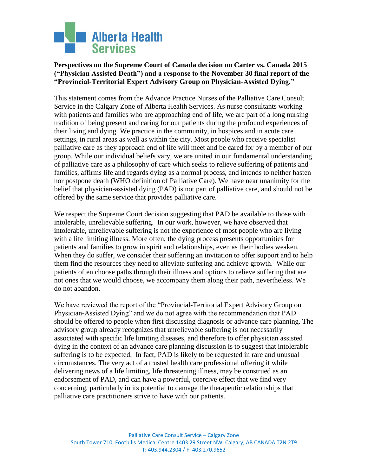

## **Perspectives on the Supreme Court of Canada decision on Carter vs. Canada 2015 ("Physician Assisted Death") and a response to the November 30 final report of the "Provincial-Territorial Expert Advisory Group on Physician-Assisted Dying."**

This statement comes from the Advance Practice Nurses of the Palliative Care Consult Service in the Calgary Zone of Alberta Health Services. As nurse consultants working with patients and families who are approaching end of life, we are part of a long nursing tradition of being present and caring for our patients during the profound experiences of their living and dying. We practice in the community, in hospices and in acute care settings, in rural areas as well as within the city. Most people who receive specialist palliative care as they approach end of life will meet and be cared for by a member of our group. While our individual beliefs vary, we are united in our fundamental understanding of palliative care as a philosophy of care which seeks to relieve suffering of patients and families, affirms life and regards dying as a normal process, and intends to neither hasten nor postpone death (WHO definition of Palliative Care). We have near unanimity for the belief that physician-assisted dying (PAD) is not part of palliative care, and should not be offered by the same service that provides palliative care.

We respect the Supreme Court decision suggesting that PAD be available to those with intolerable, unrelievable suffering. In our work, however, we have observed that intolerable, unrelievable suffering is not the experience of most people who are living with a life limiting illness. More often, the dying process presents opportunities for patients and families to grow in spirit and relationships, even as their bodies weaken. When they do suffer, we consider their suffering an invitation to offer support and to help them find the resources they need to alleviate suffering and achieve growth. While our patients often choose paths through their illness and options to relieve suffering that are not ones that we would choose, we accompany them along their path, nevertheless. We do not abandon.

We have reviewed the report of the "Provincial-Territorial Expert Advisory Group on Physician-Assisted Dying" and we do not agree with the recommendation that PAD should be offered to people when first discussing diagnosis or advance care planning. The advisory group already recognizes that unrelievable suffering is not necessarily associated with specific life limiting diseases, and therefore to offer physician assisted dying in the context of an advance care planning discussion is to suggest that intolerable suffering is to be expected. In fact, PAD is likely to be requested in rare and unusual circumstances. The very act of a trusted health care professional offering it while delivering news of a life limiting, life threatening illness, may be construed as an endorsement of PAD, and can have a powerful, coercive effect that we find very concerning, particularly in its potential to damage the therapeutic relationships that palliative care practitioners strive to have with our patients.